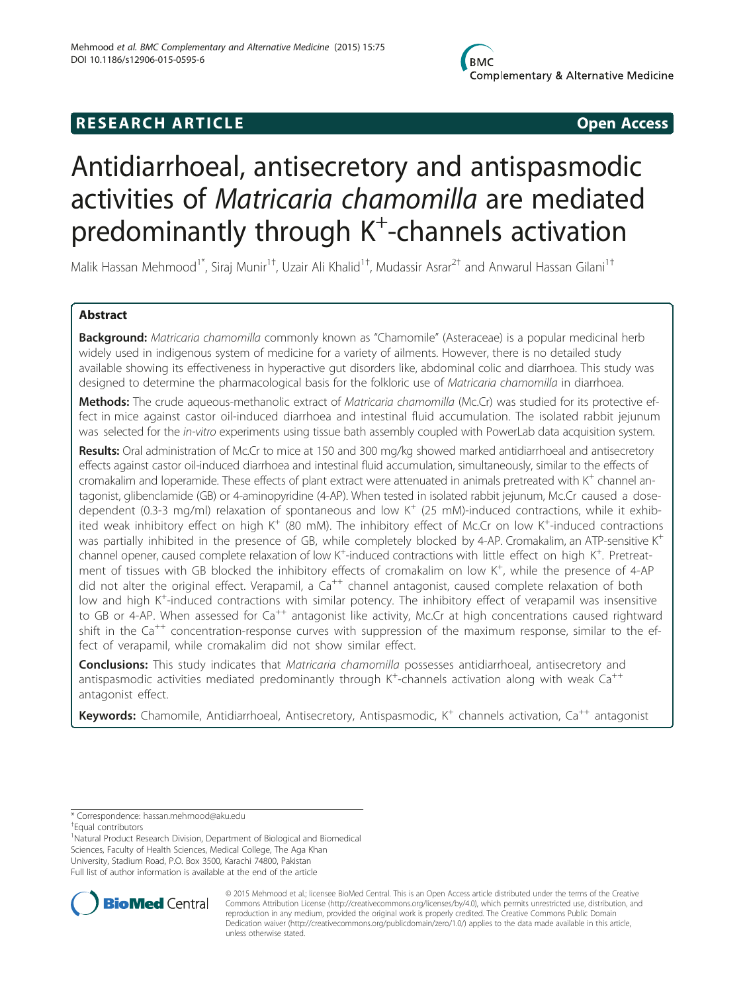## **RESEARCH ARTICLE CONSUMING A RESEARCH ARTICLE**

# Antidiarrhoeal, antisecretory and antispasmodic activities of Matricaria chamomilla are mediated predominantly through K<sup>+</sup>-channels activation

Malik Hassan Mehmood<sup>1\*</sup>, Siraj Munir<sup>1†</sup>, Uzair Ali Khalid<sup>1†</sup>, Mudassir Asrar<sup>2†</sup> and Anwarul Hassan Gilani<sup>1†</sup>

## Abstract

Background: Matricaria chamomilla commonly known as "Chamomile" (Asteraceae) is a popular medicinal herb widely used in indigenous system of medicine for a variety of ailments. However, there is no detailed study available showing its effectiveness in hyperactive gut disorders like, abdominal colic and diarrhoea. This study was designed to determine the pharmacological basis for the folkloric use of Matricaria chamomilla in diarrhoea.

Methods: The crude aqueous-methanolic extract of Matricaria chamomilla (Mc.Cr) was studied for its protective effect in mice against castor oil-induced diarrhoea and intestinal fluid accumulation. The isolated rabbit jejunum was selected for the in-vitro experiments using tissue bath assembly coupled with PowerLab data acquisition system.

Results: Oral administration of Mc.Cr to mice at 150 and 300 mg/kg showed marked antidiarrhoeal and antisecretory effects against castor oil-induced diarrhoea and intestinal fluid accumulation, simultaneously, similar to the effects of cromakalim and loperamide. These effects of plant extract were attenuated in animals pretreated with  $K^+$  channel antagonist, glibenclamide (GB) or 4-aminopyridine (4-AP). When tested in isolated rabbit jejunum, Mc.Cr caused a dosedependent (0.3-3 mg/ml) relaxation of spontaneous and low  $K^+$  (25 mM)-induced contractions, while it exhibited weak inhibitory effect on high K<sup>+</sup> (80 mM). The inhibitory effect of Mc.Cr on low K<sup>+</sup>-induced contractions was partially inhibited in the presence of GB, while completely blocked by 4-AP. Cromakalim, an ATP-sensitive K<sup>+</sup> channel opener, caused complete relaxation of low K<sup>+</sup>-induced contractions with little effect on high K<sup>+</sup>. Pretreatment of tissues with GB blocked the inhibitory effects of cromakalim on low K<sup>+</sup>, while the presence of 4-AP did not alter the original effect. Verapamil, a  $Ca^{++}$  channel antagonist, caused complete relaxation of both low and high K<sup>+</sup>-induced contractions with similar potency. The inhibitory effect of verapamil was insensitive to GB or 4-AP. When assessed for Ca<sup>++</sup> antagonist like activity, Mc.Cr at high concentrations caused rightward shift in the Ca<sup>++</sup> concentration-response curves with suppression of the maximum response, similar to the effect of verapamil, while cromakalim did not show similar effect.

**Conclusions:** This study indicates that Matricaria chamomilla possesses antidiarrhoeal, antisecretory and antispasmodic activities mediated predominantly through K<sup>+</sup>-channels activation along with weak Ca<sup>++</sup> antagonist effect.

Keywords: Chamomile, Antidiarrhoeal, Antisecretory, Antispasmodic, K<sup>+</sup> channels activation, Ca<sup>++</sup> antagonist

<sup>1</sup>Natural Product Research Division, Department of Biological and Biomedical Sciences, Faculty of Health Sciences, Medical College, The Aga Khan University, Stadium Road, P.O. Box 3500, Karachi 74800, Pakistan Full list of author information is available at the end of the article



© 2015 Mehmood et al.; licensee BioMed Central. This is an Open Access article distributed under the terms of the Creative Commons Attribution License [\(http://creativecommons.org/licenses/by/4.0\)](http://creativecommons.org/licenses/by/4.0), which permits unrestricted use, distribution, and reproduction in any medium, provided the original work is properly credited. The Creative Commons Public Domain Dedication waiver [\(http://creativecommons.org/publicdomain/zero/1.0/](http://creativecommons.org/publicdomain/zero/1.0/)) applies to the data made available in this article, unless otherwise stated.

<sup>\*</sup> Correspondence: [hassan.mehmood@aku.edu](mailto:hassan.mehmood@aku.edu) †

Equal contributors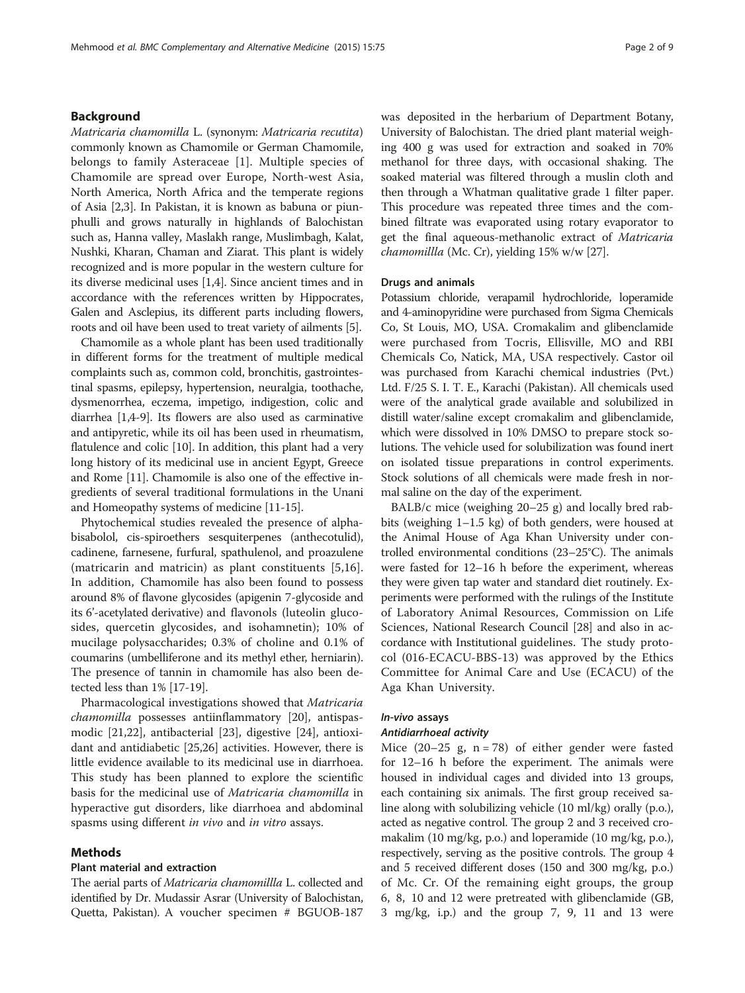## Background

Matricaria chamomilla L. (synonym: Matricaria recutita) commonly known as Chamomile or German Chamomile, belongs to family Asteraceae [[1\]](#page-7-0). Multiple species of Chamomile are spread over Europe, North-west Asia, North America, North Africa and the temperate regions of Asia [[2,3\]](#page-7-0). In Pakistan, it is known as babuna or piunphulli and grows naturally in highlands of Balochistan such as, Hanna valley, Maslakh range, Muslimbagh, Kalat, Nushki, Kharan, Chaman and Ziarat. This plant is widely recognized and is more popular in the western culture for its diverse medicinal uses [\[1,4](#page-7-0)]. Since ancient times and in accordance with the references written by Hippocrates, Galen and Asclepius, its different parts including flowers, roots and oil have been used to treat variety of ailments [\[5](#page-7-0)].

Chamomile as a whole plant has been used traditionally in different forms for the treatment of multiple medical complaints such as, common cold, bronchitis, gastrointestinal spasms, epilepsy, hypertension, neuralgia, toothache, dysmenorrhea, eczema, impetigo, indigestion, colic and diarrhea [[1,4-9\]](#page-7-0). Its flowers are also used as carminative and antipyretic, while its oil has been used in rheumatism, flatulence and colic [[10](#page-7-0)]. In addition, this plant had a very long history of its medicinal use in ancient Egypt, Greece and Rome [\[11\]](#page-7-0). Chamomile is also one of the effective ingredients of several traditional formulations in the Unani and Homeopathy systems of medicine [[11-15\]](#page-7-0).

Phytochemical studies revealed the presence of alphabisabolol, cis-spiroethers sesquiterpenes (anthecotulid), cadinene, farnesene, furfural, spathulenol, and proazulene (matricarin and matricin) as plant constituents [[5,16](#page-7-0)]. In addition, Chamomile has also been found to possess around 8% of flavone glycosides (apigenin 7-glycoside and its 6'-acetylated derivative) and flavonols (luteolin glucosides, quercetin glycosides, and isohamnetin); 10% of mucilage polysaccharides; 0.3% of choline and 0.1% of coumarins (umbelliferone and its methyl ether, herniarin). The presence of tannin in chamomile has also been detected less than 1% [\[17-19](#page-7-0)].

Pharmacological investigations showed that Matricaria chamomilla possesses antiinflammatory [\[20](#page-7-0)], antispasmodic [\[21,22](#page-8-0)], antibacterial [[23\]](#page-8-0), digestive [[24\]](#page-8-0), antioxidant and antidiabetic [[25,26\]](#page-8-0) activities. However, there is little evidence available to its medicinal use in diarrhoea. This study has been planned to explore the scientific basis for the medicinal use of Matricaria chamomilla in hyperactive gut disorders, like diarrhoea and abdominal spasms using different in vivo and in vitro assays.

## Methods

## Plant material and extraction

The aerial parts of Matricaria chamomillla L. collected and identified by Dr. Mudassir Asrar (University of Balochistan, Quetta, Pakistan). A voucher specimen # BGUOB-187

was deposited in the herbarium of Department Botany, University of Balochistan. The dried plant material weighing 400 g was used for extraction and soaked in 70% methanol for three days, with occasional shaking. The soaked material was filtered through a muslin cloth and then through a Whatman qualitative grade 1 filter paper. This procedure was repeated three times and the combined filtrate was evaporated using rotary evaporator to get the final aqueous-methanolic extract of Matricaria chamomillla (Mc. Cr), yielding 15% w/w [\[27\]](#page-8-0).

#### Drugs and animals

Potassium chloride, verapamil hydrochloride, loperamide and 4-aminopyridine were purchased from Sigma Chemicals Co, St Louis, MO, USA. Cromakalim and glibenclamide were purchased from Tocris, Ellisville, MO and RBI Chemicals Co, Natick, MA, USA respectively. Castor oil was purchased from Karachi chemical industries (Pvt.) Ltd. F/25 S. I. T. E., Karachi (Pakistan). All chemicals used were of the analytical grade available and solubilized in distill water/saline except cromakalim and glibenclamide, which were dissolved in 10% DMSO to prepare stock solutions. The vehicle used for solubilization was found inert on isolated tissue preparations in control experiments. Stock solutions of all chemicals were made fresh in normal saline on the day of the experiment.

BALB/c mice (weighing 20–25 g) and locally bred rabbits (weighing 1–1.5 kg) of both genders, were housed at the Animal House of Aga Khan University under controlled environmental conditions (23–25°C). The animals were fasted for 12–16 h before the experiment, whereas they were given tap water and standard diet routinely. Experiments were performed with the rulings of the Institute of Laboratory Animal Resources, Commission on Life Sciences, National Research Council [\[28\]](#page-8-0) and also in accordance with Institutional guidelines. The study protocol (016-ECACU-BBS-13) was approved by the Ethics Committee for Animal Care and Use (ECACU) of the Aga Khan University.

## In-vivo assays

## Antidiarrhoeal activity

Mice  $(20-25 \text{ g}, \text{ n} = 78)$  of either gender were fasted for 12–16 h before the experiment. The animals were housed in individual cages and divided into 13 groups, each containing six animals. The first group received saline along with solubilizing vehicle (10 ml/kg) orally (p.o.), acted as negative control. The group 2 and 3 received cromakalim (10 mg/kg, p.o.) and loperamide (10 mg/kg, p.o.), respectively, serving as the positive controls. The group 4 and 5 received different doses (150 and 300 mg/kg, p.o.) of Mc. Cr. Of the remaining eight groups, the group 6, 8, 10 and 12 were pretreated with glibenclamide (GB, 3 mg/kg, i.p.) and the group 7, 9, 11 and 13 were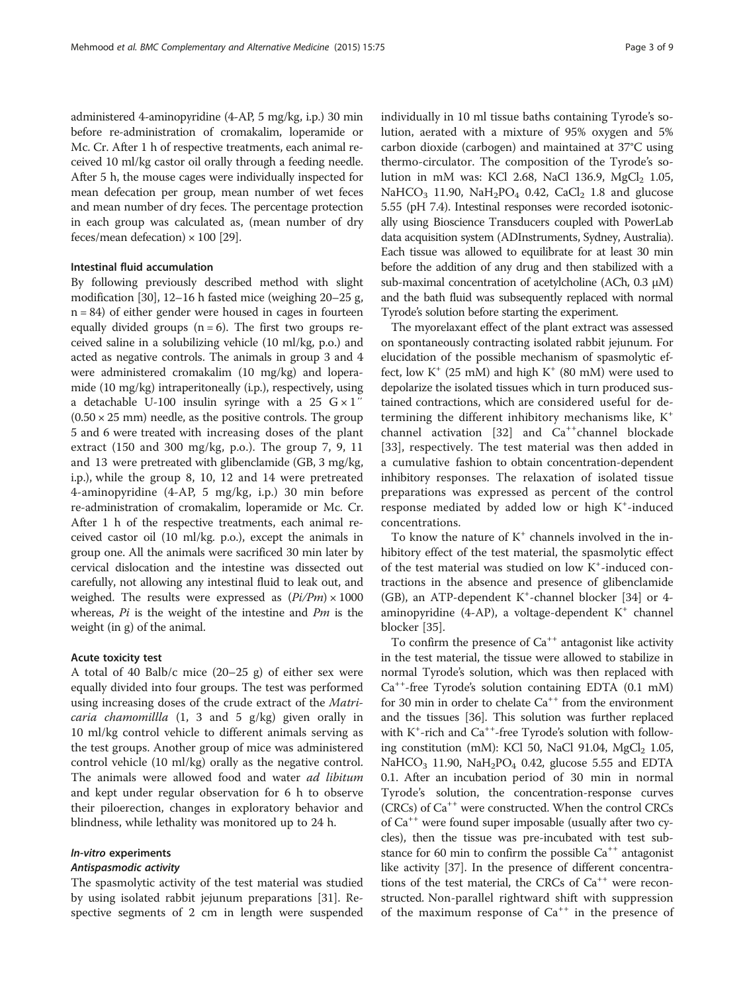administered 4-aminopyridine (4-AP, 5 mg/kg, i.p.) 30 min before re-administration of cromakalim, loperamide or Mc. Cr. After 1 h of respective treatments, each animal received 10 ml/kg castor oil orally through a feeding needle. After 5 h, the mouse cages were individually inspected for mean defecation per group, mean number of wet feces and mean number of dry feces. The percentage protection in each group was calculated as, (mean number of dry feces/mean defecation)  $\times$  100 [\[29\]](#page-8-0).

## Intestinal fluid accumulation

By following previously described method with slight modification [\[30\]](#page-8-0), 12–16 h fasted mice (weighing 20–25 g,  $n = 84$ ) of either gender were housed in cages in fourteen equally divided groups  $(n = 6)$ . The first two groups received saline in a solubilizing vehicle (10 ml/kg, p.o.) and acted as negative controls. The animals in group 3 and 4 were administered cromakalim (10 mg/kg) and loperamide (10 mg/kg) intraperitoneally (i.p.), respectively, using a detachable U-100 insulin syringe with a 25  $G \times 1$ "  $(0.50 \times 25 \text{ mm})$  needle, as the positive controls. The group 5 and 6 were treated with increasing doses of the plant extract (150 and 300 mg/kg, p.o.). The group 7, 9, 11 and 13 were pretreated with glibenclamide (GB, 3 mg/kg, i.p.), while the group 8, 10, 12 and 14 were pretreated 4-aminopyridine (4-AP, 5 mg/kg, i.p.) 30 min before re-administration of cromakalim, loperamide or Mc. Cr. After 1 h of the respective treatments, each animal received castor oil (10 ml/kg. p.o.), except the animals in group one. All the animals were sacrificed 30 min later by cervical dislocation and the intestine was dissected out carefully, not allowing any intestinal fluid to leak out, and weighed. The results were expressed as  $(Pi/Pm) \times 1000$ whereas,  $Pi$  is the weight of the intestine and  $Pm$  is the weight (in g) of the animal.

## Acute toxicity test

A total of 40 Balb/c mice (20–25 g) of either sex were equally divided into four groups. The test was performed using increasing doses of the crude extract of the Matri*caria chamomillla*  $(1, 3 \text{ and } 5 \text{ g/kg})$  given orally in 10 ml/kg control vehicle to different animals serving as the test groups. Another group of mice was administered control vehicle (10 ml/kg) orally as the negative control. The animals were allowed food and water *ad libitum* and kept under regular observation for 6 h to observe their piloerection, changes in exploratory behavior and blindness, while lethality was monitored up to 24 h.

#### In-vitro experiments

## Antispasmodic activity

The spasmolytic activity of the test material was studied by using isolated rabbit jejunum preparations [\[31\]](#page-8-0). Respective segments of 2 cm in length were suspended individually in 10 ml tissue baths containing Tyrode's solution, aerated with a mixture of 95% oxygen and 5% carbon dioxide (carbogen) and maintained at 37°C using thermo-circulator. The composition of the Tyrode's solution in mM was: KCl 2.68, NaCl 136.9,  $MgCl<sub>2</sub>$  1.05, NaHCO<sub>3</sub> 11.90, NaH<sub>2</sub>PO<sub>4</sub> 0.42, CaCl<sub>2</sub> 1.8 and glucose 5.55 (pH 7.4). Intestinal responses were recorded isotonically using Bioscience Transducers coupled with PowerLab data acquisition system (ADInstruments, Sydney, Australia). Each tissue was allowed to equilibrate for at least 30 min before the addition of any drug and then stabilized with a sub-maximal concentration of acetylcholine (ACh, 0.3 μM) and the bath fluid was subsequently replaced with normal Tyrode's solution before starting the experiment.

The myorelaxant effect of the plant extract was assessed on spontaneously contracting isolated rabbit jejunum. For elucidation of the possible mechanism of spasmolytic effect, low  $K^+$  (25 mM) and high  $K^+$  (80 mM) were used to depolarize the isolated tissues which in turn produced sustained contractions, which are considered useful for determining the different inhibitory mechanisms like,  $K^+$ channel activation  $[32]$  $[32]$  and  $Ca^{++}$ channel blockade [[33\]](#page-8-0), respectively. The test material was then added in a cumulative fashion to obtain concentration-dependent inhibitory responses. The relaxation of isolated tissue preparations was expressed as percent of the control response mediated by added low or high K<sup>+</sup>-induced concentrations.

To know the nature of  $K^+$  channels involved in the inhibitory effect of the test material, the spasmolytic effect of the test material was studied on low K<sup>+</sup>-induced contractions in the absence and presence of glibenclamide (GB), an ATP-dependent K<sup>+</sup>-channel blocker [\[34](#page-8-0)] or 4aminopyridine (4-AP), a voltage-dependent  $K^+$  channel blocker [[35\]](#page-8-0).

To confirm the presence of  $Ca^{++}$  antagonist like activity in the test material, the tissue were allowed to stabilize in normal Tyrode's solution, which was then replaced with Ca++-free Tyrode's solution containing EDTA (0.1 mM) for 30 min in order to chelate  $Ca^{++}$  from the environment and the tissues [[36\]](#page-8-0). This solution was further replaced with K<sup>+</sup>-rich and Ca<sup>++</sup>-free Tyrode's solution with following constitution (mM): KCl 50, NaCl 91.04,  $MgCl<sub>2</sub>$  1.05, NaHCO<sub>3</sub> 11.90, NaH<sub>2</sub>PO<sub>4</sub> 0.42, glucose 5.55 and EDTA 0.1. After an incubation period of 30 min in normal Tyrode's solution, the concentration-response curves (CRCs) of Ca++ were constructed. When the control CRCs of  $Ca^{++}$  were found super imposable (usually after two cycles), then the tissue was pre-incubated with test substance for 60 min to confirm the possible  $Ca^{++}$  antagonist like activity [\[37](#page-8-0)]. In the presence of different concentrations of the test material, the CRCs of  $Ca^{++}$  were reconstructed. Non-parallel rightward shift with suppression of the maximum response of  $Ca^{++}$  in the presence of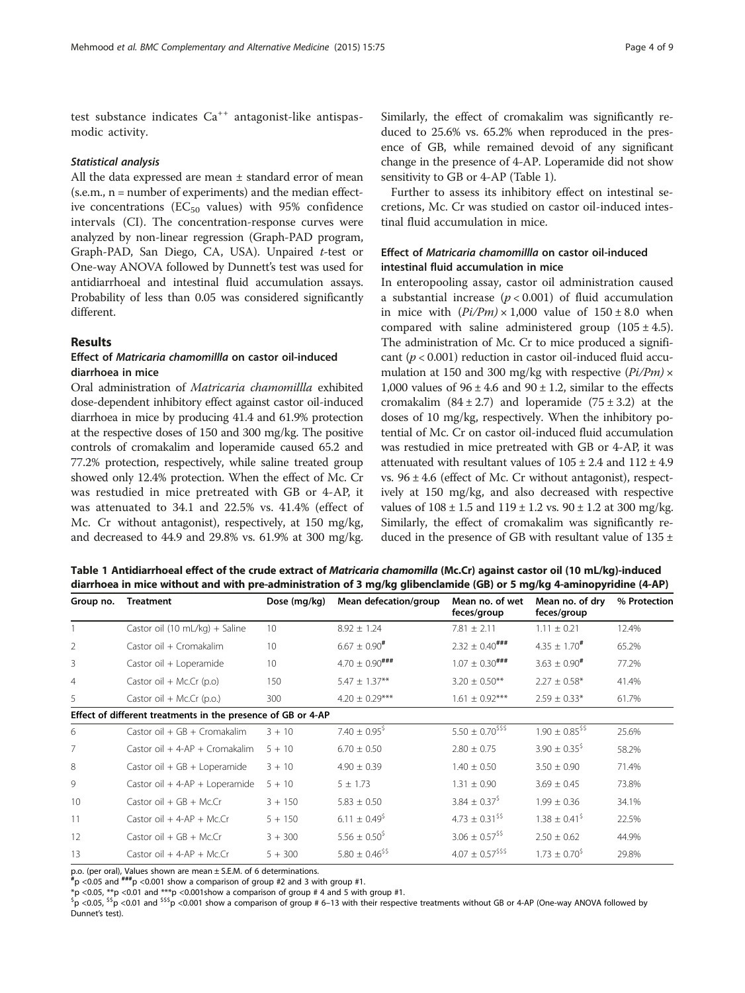test substance indicates  $Ca^{++}$  antagonist-like antispasmodic activity.

## Statistical analysis

All the data expressed are mean ± standard error of mean  $(s.e.m., n = number of experiments)$  and the median effective concentrations ( $EC_{50}$  values) with 95% confidence intervals (CI). The concentration-response curves were analyzed by non-linear regression (Graph-PAD program, Graph-PAD, San Diego, CA, USA). Unpaired t-test or One-way ANOVA followed by Dunnett's test was used for antidiarrhoeal and intestinal fluid accumulation assays. Probability of less than 0.05 was considered significantly different.

## Results

## Effect of Matricaria chamomillla on castor oil-induced diarrhoea in mice

Oral administration of Matricaria chamomillla exhibited dose-dependent inhibitory effect against castor oil-induced diarrhoea in mice by producing 41.4 and 61.9% protection at the respective doses of 150 and 300 mg/kg. The positive controls of cromakalim and loperamide caused 65.2 and 77.2% protection, respectively, while saline treated group showed only 12.4% protection. When the effect of Mc. Cr was restudied in mice pretreated with GB or 4-AP, it was attenuated to 34.1 and 22.5% vs. 41.4% (effect of Mc. Cr without antagonist), respectively, at 150 mg/kg, and decreased to 44.9 and 29.8% vs. 61.9% at 300 mg/kg. Similarly, the effect of cromakalim was significantly reduced to 25.6% vs. 65.2% when reproduced in the presence of GB, while remained devoid of any significant change in the presence of 4-AP. Loperamide did not show sensitivity to GB or 4-AP (Table 1).

Further to assess its inhibitory effect on intestinal secretions, Mc. Cr was studied on castor oil-induced intestinal fluid accumulation in mice.

## Effect of Matricaria chamomillla on castor oil-induced intestinal fluid accumulation in mice

In enteropooling assay, castor oil administration caused a substantial increase  $(p < 0.001)$  of fluid accumulation in mice with  $(Pi/Pm) \times 1,000$  value of  $150 \pm 8.0$  when compared with saline administered group  $(105 \pm 4.5)$ . The administration of Mc. Cr to mice produced a significant ( $p < 0.001$ ) reduction in castor oil-induced fluid accumulation at 150 and 300 mg/kg with respective  $\left(\frac{pi}{Pm}\right) \times$ 1,000 values of  $96 \pm 4.6$  and  $90 \pm 1.2$ , similar to the effects cromakalim  $(84 \pm 2.7)$  and loperamide  $(75 \pm 3.2)$  at the doses of 10 mg/kg, respectively. When the inhibitory potential of Mc. Cr on castor oil-induced fluid accumulation was restudied in mice pretreated with GB or 4-AP, it was attenuated with resultant values of  $105 \pm 2.4$  and  $112 \pm 4.9$ vs.  $96 \pm 4.6$  (effect of Mc. Cr without antagonist), respectively at 150 mg/kg, and also decreased with respective values of  $108 \pm 1.5$  and  $119 \pm 1.2$  vs.  $90 \pm 1.2$  at 300 mg/kg. Similarly, the effect of cromakalim was significantly reduced in the presence of GB with resultant value of  $135 \pm$ 

Table 1 Antidiarrhoeal effect of the crude extract of Matricaria chamomilla (Mc.Cr) against castor oil (10 mL/kg)-induced diarrhoea in mice without and with pre-administration of 3 mg/kg glibenclamide (GB) or 5 mg/kg 4-aminopyridine (4-AP)

| Group no.                                                    | <b>Treatment</b>                 | Dose (mg/kg) | Mean defecation/group           | Mean no. of wet<br>feces/group    | Mean no. of dry<br>feces/group  | % Protection |
|--------------------------------------------------------------|----------------------------------|--------------|---------------------------------|-----------------------------------|---------------------------------|--------------|
|                                                              | Castor oil (10 mL/kg) + Saline   | 10           | $8.92 \pm 1.24$                 | $7.81 \pm 2.11$                   | $1.11 \pm 0.21$                 | 12.4%        |
| 2                                                            | Castor oil + Cromakalim          | 10           | $6.67 \pm 0.90$ <sup>#</sup>    | $2.32 \pm 0.40$ ###               | $4.35 \pm 1.70^{\#}$            | 65.2%        |
| 3                                                            | Castor oil + Loperamide          | 10           | $4.70 \pm 0.90$ ###             | $1.07 \pm 0.30$ ###               | $3.63 \pm 0.90$ <sup>#</sup>    | 77.2%        |
| $\overline{4}$                                               | Castor oil + Mc.Cr (p.o)         | 150          | $5.47 \pm 1.37***$              | $3.20 \pm 0.50$ **                | $2.27 \pm 0.58$ *               | 41.4%        |
| 5                                                            | Castor oil + Mc.Cr (p.o.)        | 300          | $4.20 \pm 0.29***$              | $1.61 \pm 0.92***$                | $2.59 \pm 0.33*$                | 61.7%        |
| Effect of different treatments in the presence of GB or 4-AP |                                  |              |                                 |                                   |                                 |              |
| 6                                                            | Castor oil + $GB + Cromakalim$   | $3 + 10$     | 7.40 $\pm$ 0.95 <sup>\$</sup>   | $5.50 \pm 0.70$ <sup>\$\$\$</sup> | $1.90 \pm 0.85$ <sup>\$\$</sup> | 25.6%        |
| 7                                                            | Castor oil $+4-AP + C$ romakalim | $5 + 10$     | $6.70 \pm 0.50$                 | $2.80 \pm 0.75$                   | $3.90 + 0.35^{5}$               | 58.2%        |
| 8                                                            | Castor oil $+$ GB $+$ Loperamide | $3 + 10$     | $4.90 \pm 0.39$                 | $1.40 \pm 0.50$                   | $3.50 \pm 0.90$                 | 71.4%        |
| 9                                                            | Castor oil $+4-AP + Loperamide$  | $5 + 10$     | $5 \pm 1.73$                    | $1.31 \pm 0.90$                   | $3.69 \pm 0.45$                 | 73.8%        |
| 10                                                           | Castor oil $+$ GB $+$ Mc.Cr      | $3 + 150$    | $5.83 \pm 0.50$                 | $3.84 \pm 0.37^5$                 | $1.99 \pm 0.36$                 | 34.1%        |
| 11                                                           | Castor oil $+4-AP + Mc.Cr$       | $5 + 150$    | $6.11 \pm 0.49^5$               | $4.73 \pm 0.31$ <sup>\$\$</sup>   | $1.38 \pm 0.41^5$               | 22.5%        |
| 12                                                           | Castor oil + $GB + Mc.Cr$        | $3 + 300$    | $5.56 \pm 0.50^5$               | $3.06 \pm 0.57$ <sup>\$\$</sup>   | $2.50 \pm 0.62$                 | 44.9%        |
| 13                                                           | Castor oil $+4-AP + Mc.Cr$       | $5 + 300$    | 5.80 $\pm$ 0.46 <sup>\$\$</sup> | $4.07 \pm 0.57$ <sup>\$\$\$</sup> | $1.73 + 0.70^5$                 | 29.8%        |

p.o. (per oral), Values shown are mean ± S.E.M. of 6 determinations.

 $^{\#}$ p <0.05 and  $^{\# \# \#}$ p <0.001 show a comparison of group #2 and 3 with group #1.

 $*_\mathsf{p}$  <0.05,  $*_\mathsf{p}$  <0.01 and  $_{**\mathsf{p}}$  <0.001show a comparison of group # 4 and 5 with group #1.

 $^{\$}$ p <0.05,  $^{\$}$ s $^{\$}$ p <0.01 and  $^{\$}$ ss $^{\$}$ p <0.001 show a comparison of group # 6–13 with their respective treatments without GB or 4-AP (One-way ANOVA followed by Dunnet's test).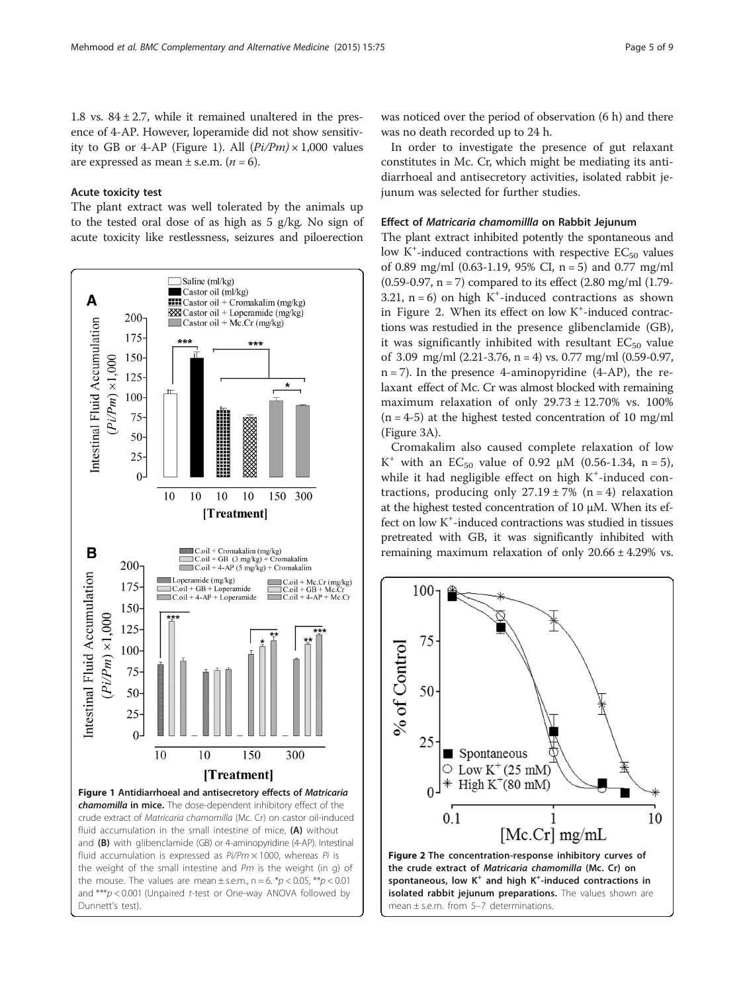1.8 vs.  $84 \pm 2.7$ , while it remained unaltered in the presence of 4-AP. However, loperamide did not show sensitivity to GB or 4-AP (Figure 1). All  $(Pi/Pm) \times 1,000$  values are expressed as mean  $\pm$  s.e.m. (*n* = 6).

### Acute toxicity test

The plant extract was well tolerated by the animals up to the tested oral dose of as high as 5 g/kg. No sign of acute toxicity like restlessness, seizures and piloerection



was noticed over the period of observation (6 h) and there was no death recorded up to 24 h.

In order to investigate the presence of gut relaxant constitutes in Mc. Cr, which might be mediating its antidiarrhoeal and antisecretory activities, isolated rabbit jejunum was selected for further studies.

## Effect of Matricaria chamomillla on Rabbit Jejunum

The plant extract inhibited potently the spontaneous and low  $K^+$ -induced contractions with respective  $EC_{50}$  values of 0.89 mg/ml (0.63-1.19, 95% CI,  $n = 5$ ) and 0.77 mg/ml  $(0.59-0.97, n = 7)$  compared to its effect  $(2.80 \text{ mg/ml } (1.79-$ 3.21,  $n = 6$ ) on high K<sup>+</sup>-induced contractions as shown in Figure 2. When its effect on low K<sup>+</sup>-induced contractions was restudied in the presence glibenclamide (GB), it was significantly inhibited with resultant  $EC_{50}$  value of 3.09 mg/ml  $(2.21-3.76, n = 4)$  vs. 0.77 mg/ml  $(0.59-0.97,$  $n = 7$ ). In the presence 4-aminopyridine (4-AP), the relaxant effect of Mc. Cr was almost blocked with remaining maximum relaxation of only  $29.73 \pm 12.70\%$  vs. 100%  $(n = 4-5)$  at the highest tested concentration of 10 mg/ml (Figure [3](#page-5-0)A).

Cromakalim also caused complete relaxation of low K<sup>+</sup> with an EC<sub>50</sub> value of 0.92  $\mu$ M (0.56-1.34, n = 5), while it had negligible effect on high K<sup>+</sup>-induced contractions, producing only  $27.19 \pm 7\%$  (n = 4) relaxation at the highest tested concentration of 10 μM. When its effect on low K<sup>+</sup>-induced contractions was studied in tissues pretreated with GB, it was significantly inhibited with remaining maximum relaxation of only 20.66 ± 4.29% vs.

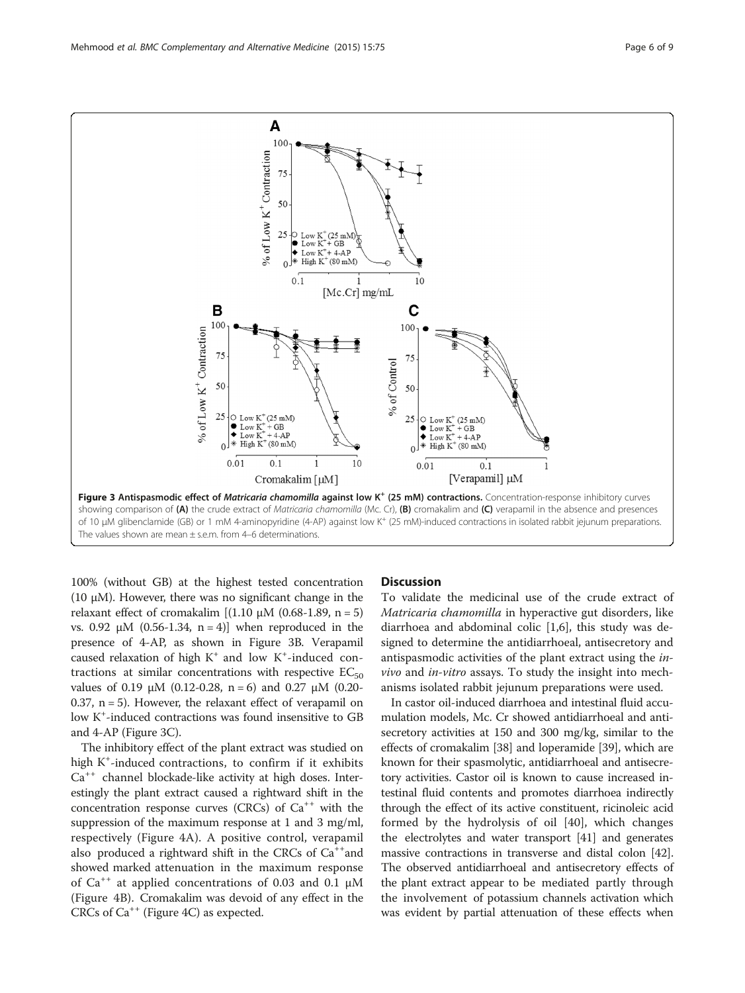100% (without GB) at the highest tested concentration (10  $\mu$ M). However, there was no significant change in the relaxant effect of cromakalim  $[(1.10 \mu M (0.68-1.89, n = 5)]$ vs. 0.92 μM (0.56-1.34, n = 4)] when reproduced in the presence of 4-AP, as shown in Figure 3B. Verapamil caused relaxation of high  $K^+$  and low  $K^+$ -induced contractions at similar concentrations with respective  $EC_{50}$ values of 0.19 μM (0.12-0.28, n = 6) and 0.27 μM (0.20-0.37,  $n = 5$ ). However, the relaxant effect of verapamil on low K<sup>+</sup>-induced contractions was found insensitive to GB and 4-AP (Figure 3C).

The inhibitory effect of the plant extract was studied on high K<sup>+</sup>-induced contractions, to confirm if it exhibits  $Ca^{++}$  channel blockade-like activity at high doses. Interestingly the plant extract caused a rightward shift in the concentration response curves (CRCs) of  $Ca^{++}$  with the suppression of the maximum response at 1 and 3 mg/ml, respectively (Figure [4A](#page-6-0)). A positive control, verapamil also produced a rightward shift in the CRCs of  $Ca^{++}$ and showed marked attenuation in the maximum response of  $Ca^{++}$  at applied concentrations of 0.03 and 0.1  $\mu$ M (Figure [4B](#page-6-0)). Cromakalim was devoid of any effect in the CRCs of  $Ca^{++}$  (Figure [4](#page-6-0)C) as expected.

## **Discussion**

To validate the medicinal use of the crude extract of Matricaria chamomilla in hyperactive gut disorders, like diarrhoea and abdominal colic [[1,6\]](#page-7-0), this study was designed to determine the antidiarrhoeal, antisecretory and antispasmodic activities of the plant extract using the invivo and in-vitro assays. To study the insight into mechanisms isolated rabbit jejunum preparations were used.

In castor oil-induced diarrhoea and intestinal fluid accumulation models, Mc. Cr showed antidiarrhoeal and antisecretory activities at 150 and 300 mg/kg, similar to the effects of cromakalim [\[38\]](#page-8-0) and loperamide [[39](#page-8-0)], which are known for their spasmolytic, antidiarrhoeal and antisecretory activities. Castor oil is known to cause increased intestinal fluid contents and promotes diarrhoea indirectly through the effect of its active constituent, ricinoleic acid formed by the hydrolysis of oil [\[40](#page-8-0)], which changes the electrolytes and water transport [\[41\]](#page-8-0) and generates massive contractions in transverse and distal colon [[42](#page-8-0)]. The observed antidiarrhoeal and antisecretory effects of the plant extract appear to be mediated partly through the involvement of potassium channels activation which was evident by partial attenuation of these effects when

<span id="page-5-0"></span>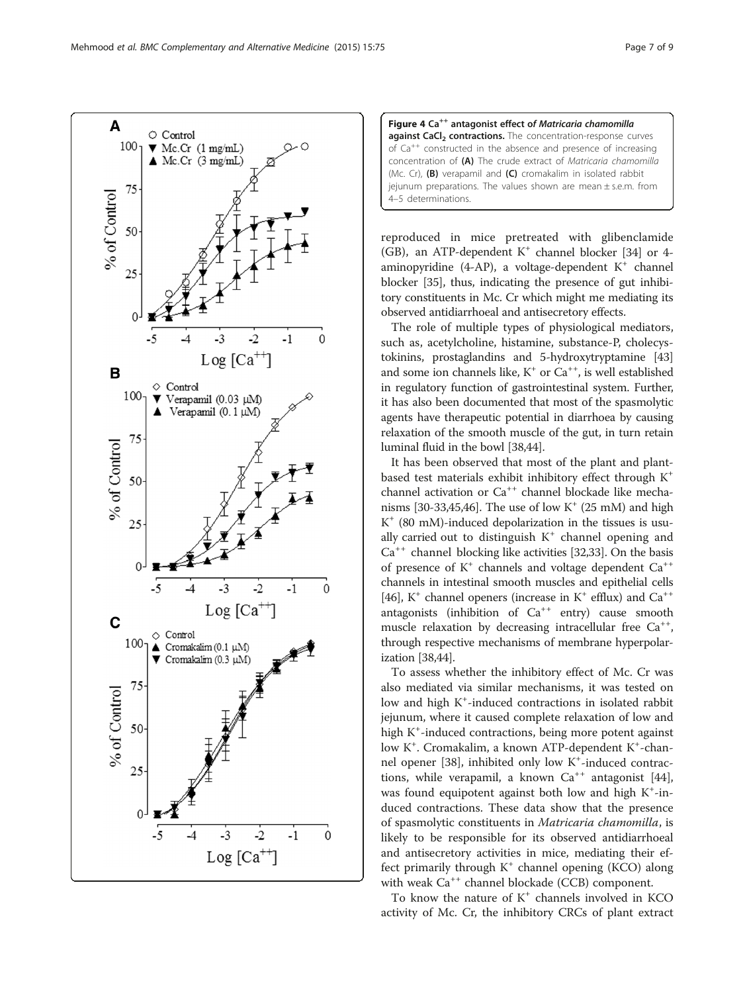aminopyridine (4-AP), a voltage-dependent  $K^+$  channel blocker [\[35](#page-8-0)], thus, indicating the presence of gut inhibitory constituents in Mc. Cr which might me mediating its observed antidiarrhoeal and antisecretory effects. The role of multiple types of physiological mediators, such as, acetylcholine, histamine, substance-P, cholecystokinins, prostaglandins and 5-hydroxytryptamine [[43](#page-8-0)]

reproduced in mice pretreated with glibenclamide (GB), an ATP-dependent  $K^+$  channel blocker [[34](#page-8-0)] or 4-

and some ion channels like,  $K^+$  or  $Ca^{++}$ , is well established in regulatory function of gastrointestinal system. Further, it has also been documented that most of the spasmolytic agents have therapeutic potential in diarrhoea by causing relaxation of the smooth muscle of the gut, in turn retain luminal fluid in the bowl [\[38,44](#page-8-0)].

It has been observed that most of the plant and plantbased test materials exhibit inhibitory effect through K+ channel activation or Ca<sup>++</sup> channel blockade like mecha-nisms [\[30-33,45,46](#page-8-0)]. The use of low  $K^+$  (25 mM) and high  $K^+$  (80 mM)-induced depolarization in the tissues is usually carried out to distinguish  $K^+$  channel opening and  $Ca^{++}$  channel blocking like activities [\[32,33](#page-8-0)]. On the basis of presence of  $K^+$  channels and voltage dependent  $Ca^{++}$ channels in intestinal smooth muscles and epithelial cells [[46](#page-8-0)],  $K^+$  channel openers (increase in  $K^+$  efflux) and  $Ca^{++}$ antagonists (inhibition of  $Ca^{++}$  entry) cause smooth muscle relaxation by decreasing intracellular free  $Ca^{++}$ , through respective mechanisms of membrane hyperpolarization [\[38,44\]](#page-8-0).

To assess whether the inhibitory effect of Mc. Cr was also mediated via similar mechanisms, it was tested on low and high K<sup>+</sup>-induced contractions in isolated rabbit jejunum, where it caused complete relaxation of low and high K<sup>+</sup>-induced contractions, being more potent against low K<sup>+</sup>. Cromakalim, a known ATP-dependent K<sup>+</sup>-chan-nel opener [[38\]](#page-8-0), inhibited only low K<sup>+</sup>-induced contractions, while verapamil, a known  $Ca^{++}$  antagonist [\[44](#page-8-0)], was found equipotent against both low and high  $K^+$ -induced contractions. These data show that the presence of spasmolytic constituents in Matricaria chamomilla, is likely to be responsible for its observed antidiarrhoeal and antisecretory activities in mice, mediating their effect primarily through  $K^+$  channel opening (KCO) along with weak  $Ca^{++}$  channel blockade (CCB) component.

To know the nature of  $K^+$  channels involved in KCO activity of Mc. Cr, the inhibitory CRCs of plant extract

<span id="page-6-0"></span>

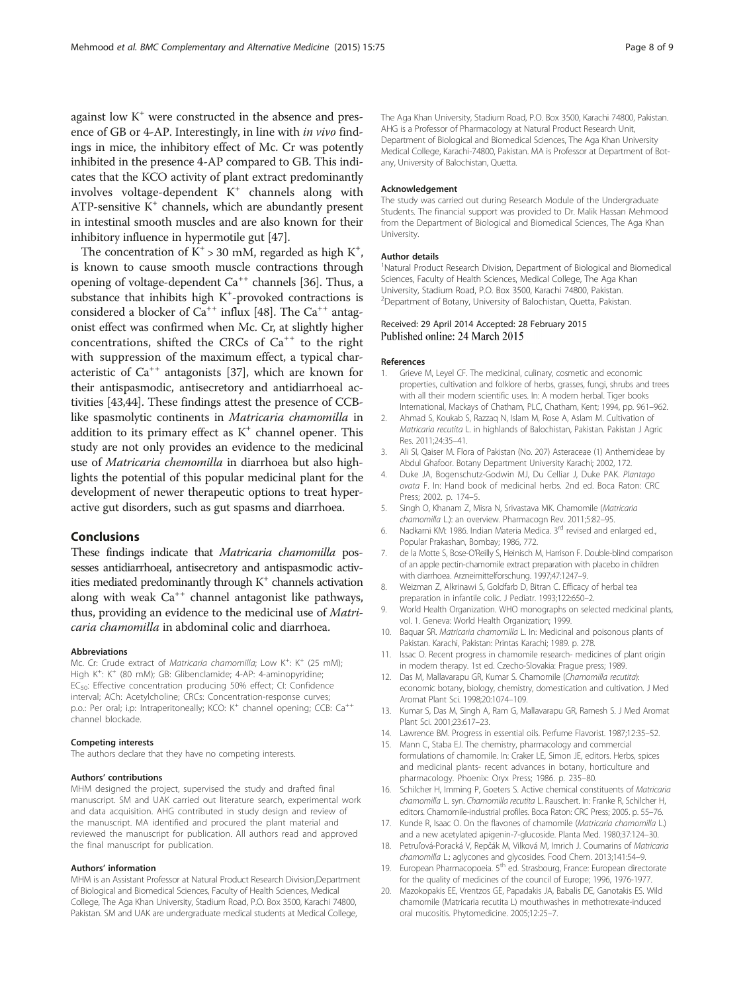<span id="page-7-0"></span>against low  $K^+$  were constructed in the absence and presence of GB or 4-AP. Interestingly, in line with in vivo findings in mice, the inhibitory effect of Mc. Cr was potently inhibited in the presence 4-AP compared to GB. This indicates that the KCO activity of plant extract predominantly involves voltage-dependent K<sup>+</sup> channels along with ATP-sensitive  $K^+$  channels, which are abundantly present in intestinal smooth muscles and are also known for their inhibitory influence in hypermotile gut [\[47\]](#page-8-0).

The concentration of  $K^+$  > 30 mM, regarded as high  $K^+$ , is known to cause smooth muscle contractions through opening of voltage-dependent  $Ca^{++}$  channels [[36](#page-8-0)]. Thus, a substance that inhibits high  $K^+$ -provoked contractions is considered a blocker of  $Ca^{++}$  influx [\[48\]](#page-8-0). The  $Ca^{++}$  antagonist effect was confirmed when Mc. Cr, at slightly higher concentrations, shifted the CRCs of  $Ca^{++}$  to the right with suppression of the maximum effect, a typical characteristic of  $Ca^{++}$  antagonists [\[37\]](#page-8-0), which are known for their antispasmodic, antisecretory and antidiarrhoeal activities [[43,44](#page-8-0)]. These findings attest the presence of CCBlike spasmolytic continents in Matricaria chamomilla in addition to its primary effect as  $K^+$  channel opener. This study are not only provides an evidence to the medicinal use of Matricaria chemomilla in diarrhoea but also highlights the potential of this popular medicinal plant for the development of newer therapeutic options to treat hyperactive gut disorders, such as gut spasms and diarrhoea.

## Conclusions

These findings indicate that Matricaria chamomilla possesses antidiarrhoeal, antisecretory and antispasmodic activities mediated predominantly through  $K^+$  channels activation along with weak  $Ca^{++}$  channel antagonist like pathways, thus, providing an evidence to the medicinal use of Matricaria chamomilla in abdominal colic and diarrhoea.

#### Abbreviations

Mc. Cr: Crude extract of *Matricaria chamomilla*; Low K<sup>+</sup>: K<sup>+</sup> (25 mM);<br>High K<sup>+,</sup> K<sup>+</sup> (80 mM); GB: Glibenclamide: 4-AP: 4-aminonyridine; High K<sup>+</sup>: K<sup>+</sup> (80 mM); GB: Glibenclamide; 4-AP: 4-aminopyridine; EC<sub>50</sub>: Effective concentration producing 50% effect; CI: Confidence interval; ACh: Acetylcholine; CRCs: Concentration-response curves; p.o.: Per oral; i.p: Intraperitoneally; KCO: K<sup>+</sup> channel opening; CCB: Ca<sup>++</sup> channel blockade.

#### Competing interests

The authors declare that they have no competing interests.

#### Authors' contributions

MHM designed the project, supervised the study and drafted final manuscript. SM and UAK carried out literature search, experimental work and data acquisition. AHG contributed in study design and review of the manuscript. MA identified and procured the plant material and reviewed the manuscript for publication. All authors read and approved the final manuscript for publication.

#### Authors' information

MHM is an Assistant Professor at Natural Product Research Division,Department of Biological and Biomedical Sciences, Faculty of Health Sciences, Medical College, The Aga Khan University, Stadium Road, P.O. Box 3500, Karachi 74800, Pakistan. SM and UAK are undergraduate medical students at Medical College,

The Aga Khan University, Stadium Road, P.O. Box 3500, Karachi 74800, Pakistan. AHG is a Professor of Pharmacology at Natural Product Research Unit, Department of Biological and Biomedical Sciences, The Aga Khan University Medical College, Karachi-74800, Pakistan. MA is Professor at Department of Botany, University of Balochistan, Quetta.

#### Acknowledgement

The study was carried out during Research Module of the Undergraduate Students. The financial support was provided to Dr. Malik Hassan Mehmood from the Department of Biological and Biomedical Sciences, The Aga Khan University.

#### Author details

<sup>1</sup>Natural Product Research Division, Department of Biological and Biomedical Sciences, Faculty of Health Sciences, Medical College, The Aga Khan University, Stadium Road, P.O. Box 3500, Karachi 74800, Pakistan. 2 Department of Botany, University of Balochistan, Quetta, Pakistan.

## Received: 29 April 2014 Accepted: 28 February 2015 Published online: 24 March 2015

#### References

- 1. Grieve M, Leyel CF. The medicinal, culinary, cosmetic and economic properties, cultivation and folklore of herbs, grasses, fungi, shrubs and trees with all their modern scientific uses. In: A modern herbal. Tiger books International, Mackays of Chatham, PLC, Chatham, Kent; 1994, pp. 961–962.
- 2. Ahmad S, Koukab S, Razzaq N, Islam M, Rose A, Aslam M. Cultivation of Matricaria recutita L. in highlands of Balochistan, Pakistan. Pakistan J Agric Res. 2011;24:35–41.
- 3. Ali SI, Qaiser M. Flora of Pakistan (No. 207) Asteraceae (1) Anthemideae by Abdul Ghafoor. Botany Department University Karachi; 2002, 172.
- 4. Duke JA, Bogenschutz-Godwin MJ, Du Celliar J, Duke PAK. Plantago ovata F. In: Hand book of medicinal herbs. 2nd ed. Boca Raton: CRC Press; 2002. p. 174–5.
- 5. Singh O, Khanam Z, Misra N, Srivastava MK. Chamomile (Matricaria chamomilla L.): an overview. Pharmacogn Rev. 2011;5:82–95.
- 6. Nadkarni KM: 1986. Indian Materia Medica. 3rd revised and enlarged ed., Popular Prakashan, Bombay; 1986, 772.
- 7. de la Motte S, Bose-O'Reilly S, Heinisch M, Harrison F. Double-blind comparison of an apple pectin-chamomile extract preparation with placebo in children with diarrhoea. Arzneimittelforschung. 1997;47:1247–9.
- 8. Weizman Z, Alkrinawi S, Goldfarb D, Bitran C. Efficacy of herbal tea preparation in infantile colic. J Pediatr. 1993;122:650–2.
- 9. World Health Organization. WHO monographs on selected medicinal plants, vol. 1. Geneva: World Health Organization; 1999.
- 10. Baquar SR. Matricaria chamomilla L. In: Medicinal and poisonous plants of Pakistan. Karachi, Pakistan: Printas Karachi; 1989. p. 278.
- 11. Issac O. Recent progress in chamomile research- medicines of plant origin in modern therapy. 1st ed. Czecho-Slovakia: Prague press; 1989.
- 12. Das M, Mallavarapu GR, Kumar S. Chamomile (Chamomilla recutita): economic botany, biology, chemistry, domestication and cultivation. J Med Aromat Plant Sci. 1998;20:1074–109.
- 13. Kumar S, Das M, Singh A, Ram G, Mallavarapu GR, Ramesh S. J Med Aromat Plant Sci. 2001;23:617–23.
- 14. Lawrence BM. Progress in essential oils. Perfume Flavorist. 1987;12:35–52.
- 15. Mann C, Staba EJ. The chemistry, pharmacology and commercial formulations of chamomile. In: Craker LE, Simon JE, editors. Herbs, spices and medicinal plants- recent advances in botany, horticulture and pharmacology. Phoenix: Oryx Press; 1986. p. 235–80.
- 16. Schilcher H, Imming P, Goeters S. Active chemical constituents of Matricaria chamomilla L. syn. Chamomilla recutita L. Rauschert. In: Franke R, Schilcher H, editors. Chamomile-industrial profiles. Boca Raton: CRC Press; 2005. p. 55–76.
- 17. Kunde R, Isaac O. On the flavones of chamomile (Matricaria chamomilla L.) and a new acetylated apigenin-7-glucoside. Planta Med. 1980;37:124–30.
- 18. Petruľová-Poracká V, Repčák M, Vilková M, Imrich J. Coumarins of Matricaria chamomilla L.: aglycones and glycosides. Food Chem. 2013;141:54–9.
- 19. European Pharmacopoeia. 5<sup>th</sup> ed. Strasbourg, France: European directorate for the quality of medicines of the council of Europe; 1996, 1976-1977.
- 20. Mazokopakis EE, Vrentzos GE, Papadakis JA, Babalis DE, Ganotakis ES. Wild chamomile (Matricaria recutita L) mouthwashes in methotrexate-induced oral mucositis. Phytomedicine. 2005;12:25–7.